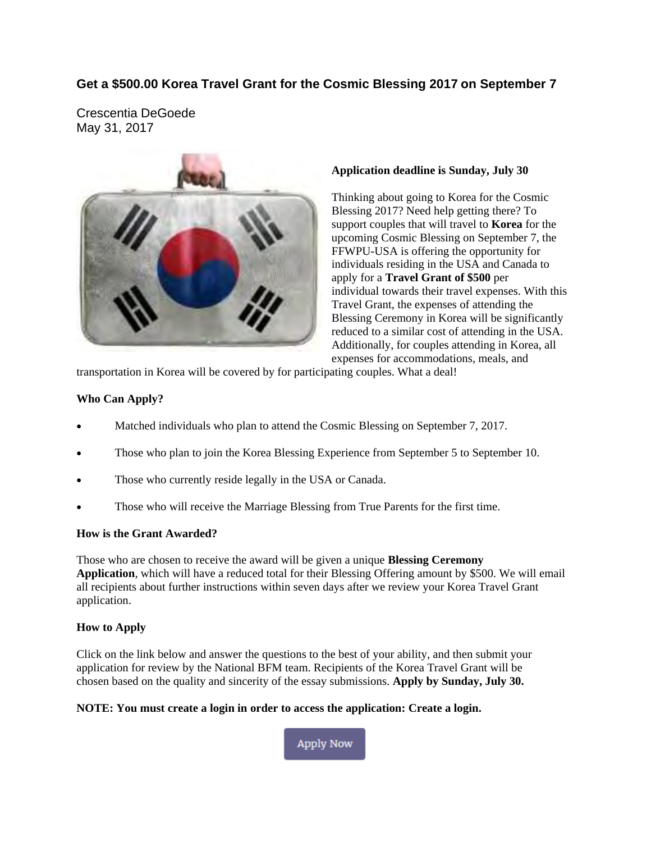## **Get a \$500.00 Korea Travel Grant for the Cosmic Blessing 2017 on September 7**

Crescentia DeGoede May 31, 2017



### **Application deadline is Sunday, July 30**

Thinking about going to Korea for the Cosmic Blessing 2017? Need help getting there? To support couples that will travel to **Korea** for the upcoming Cosmic Blessing on September 7, the FFWPU-USA is offering the opportunity for individuals residing in the USA and Canada to apply for a **Travel Grant of \$500** per individual towards their travel expenses. With this Travel Grant, the expenses of attending the Blessing Ceremony in Korea will be significantly reduced to a similar cost of attending in the USA. Additionally, for couples attending in Korea, all expenses for accommodations, meals, and

transportation in Korea will be covered by for participating couples. What a deal!

### **Who Can Apply?**

- Matched individuals who plan to attend the Cosmic Blessing on September 7, 2017.
- Those who plan to join the Korea Blessing Experience from September 5 to September 10.
- Those who currently reside legally in the USA or Canada.
- Those who will receive the Marriage Blessing from True Parents for the first time.

#### **How is the Grant Awarded?**

Those who are chosen to receive the award will be given a unique **Blessing Ceremony Application**, which will have a reduced total for their Blessing Offering amount by \$500. We will email all recipients about further instructions within seven days after we review your Korea Travel Grant application.

#### **How to Apply**

Click on the link below and answer the questions to the best of your ability, and then submit your application for review by the National BFM team. Recipients of the Korea Travel Grant will be chosen based on the quality and sincerity of the essay submissions. **[Apply](#page-1-0) by Sunday, July 30.** 

### **NOTE: You must create a login in order to access the application: Create a login.**

**Apply Now**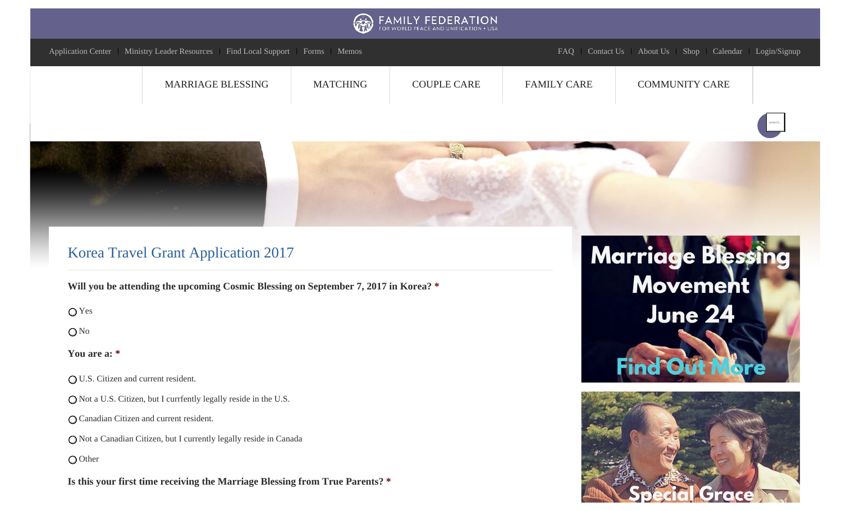<span id="page-1-0"></span>

Not a Canadian Citizen, but I currently legally reside in Canada

O Other

**Is this your first time receiving the Marriage Blessing from True Parents? \***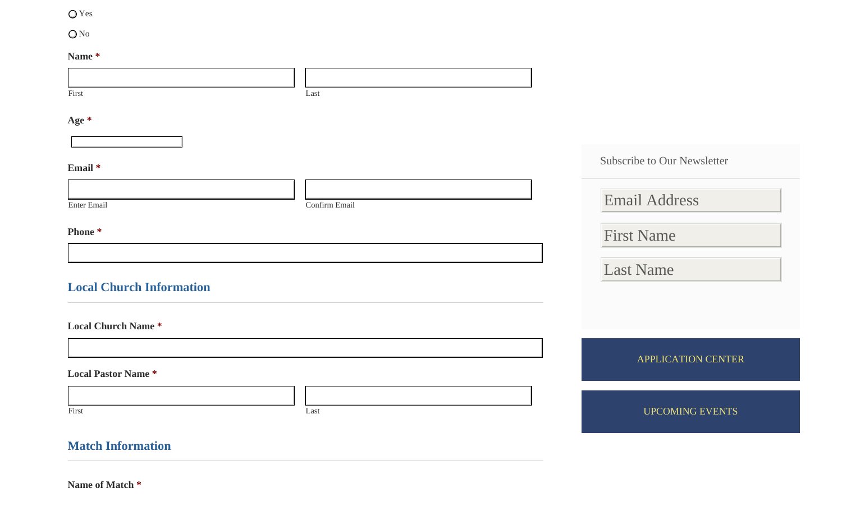## Yes

O<sub>No</sub>

### **Name \***

| 1                               |                       |                             |
|---------------------------------|-----------------------|-----------------------------|
|                                 |                       |                             |
| First                           | Last                  |                             |
| Age *                           |                       |                             |
|                                 |                       |                             |
| Email *                         |                       | Subscribe to Our Newsletter |
|                                 |                       | <b>Email Address</b>        |
| <b>Enter Email</b>              | Confirm Email         |                             |
| Phone <sup>*</sup>              |                       | <b>First Name</b>           |
|                                 |                       |                             |
| <b>Local Church Information</b> |                       | <b>Last Name</b>            |
| <b>Local Church Name *</b>      |                       |                             |
|                                 |                       | APPLICATION CENTER          |
| <b>Local Pastor Name*</b>       |                       |                             |
|                                 |                       |                             |
| First                           | $\operatorname{Last}$ | <b>UPCOMING EVENTS</b>      |
| <b>Match Information</b>        |                       |                             |

**Name of Match \***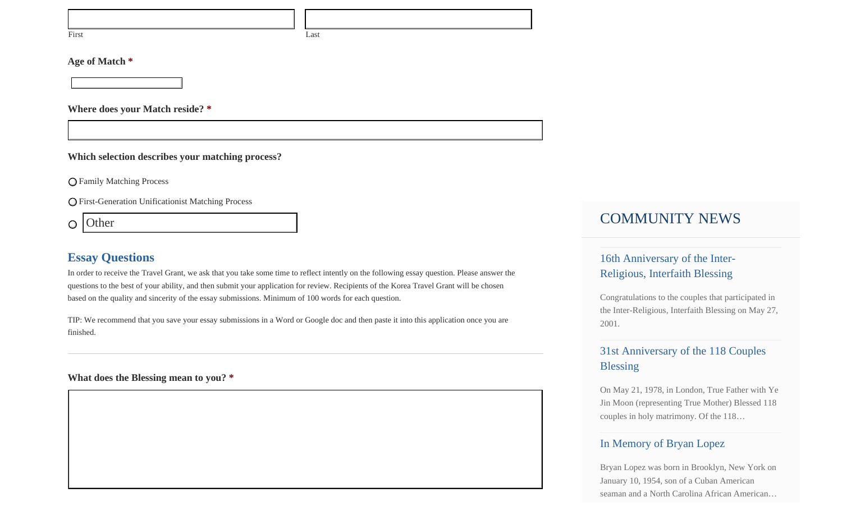First Last

### **Age of Match \***

**Where does your Match reside? \***

**Which selection describes your matching process?**

Family Matching Process

First-Generation Unificationist Matching Process

**Other**  $\bigcirc$ 

## **Essay Questions**

In order to receive the Travel Grant, we ask that you take some time to reflect intently on the following essay question. Please answer the questions to the best of your ability, and then submit your application for review. Recipients of the Korea Travel Grant will be chosen based on the quality and sincerity of the essay submissions. Minimum of 100 words for each question.

TIP: We recommend that you save your essay submissions in a Word or Google doc and then paste it into this application once you are finished.

### **What does the Blessing mean to you? \***

# COMMUNITY NEWS

# 16th Anniversary of the Inter-Religious, Interfaith Blessing

Congratulations to the couples that participated in the Inter-Religious, Interfaith Blessing on May 27, 2001.

# 31st Anniversary of the 118 Couples Blessing

On May 21, 1978, in London, True Father with Ye Jin Moon (representing True Mother) Blessed 118 couples in holy matrimony. Of the 118…

## In Memory of Bryan Lopez

Bryan Lopez was born in Brooklyn, New York on January 10, 1954, son of a Cuban American seaman and a North Carolina African American…